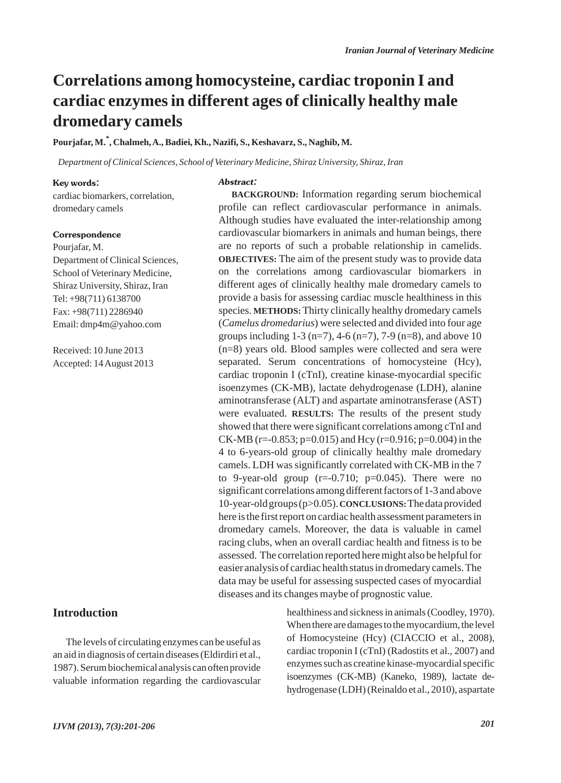## **Correlations among homocysteine, cardiac troponin I and cardiac enzymes in different ages of clinically healthy male dromedary camels**

## **Pourjafar, M.\* , Chalmeh, A., Badiei, Kh., Nazifi, S., Keshavarz, S., Naghib, M.**

*Department of Clinical Sciences, School of Veterinary Medicine, Shiraz University, Shiraz, Iran*

Abstract:

#### Key words:

cardiac biomarkers, correlation, dromedary camels

#### **Correspondence**

Pourjafar, M. Department of Clinical Sciences, School of Veterinary Medicine, Shiraz University, Shiraz, Iran Tel: +98(711) 6138700 Fax: +98(711) 2286940 Email: dmp4m@yahoo.com

Received: 10 June 2013 Accepted: 14 August 2013

## **Introduction**

The levels of circulating enzymes can be useful as an aid in diagnosis of certain diseases (Eldirdiri et al., 1987). Serum biochemical analysis can often provide valuable information regarding the cardiovascular

**BACKGROUND:** Information regarding serum biochemical profile can reflect cardiovascular performance in animals. Although studies have evaluated the inter-relationship among cardiovascular biomarkers in animals and human beings, there are no reports of such a probable relationship in camelids. **OBJECTIVES:** The aim of the present study was to provide data on the correlations among cardiovascular biomarkers in different ages of clinically healthy male dromedary camels to provide a basis for assessing cardiac muscle healthiness in this species. **METHODS:**Thirty clinically healthy dromedary camels (*Camelus dromedarius*) were selected and divided into four age groups including  $1-3$  (n=7),  $4-6$  (n=7),  $7-9$  (n=8), and above 10 (n=8) years old. Blood samples were collected and sera were separated. Serum concentrations of homocysteine (Hcy), cardiac troponin I (cTnI), creatine kinase-myocardial specific isoenzymes (CK-MB), lactate dehydrogenase (LDH), alanine aminotransferase (ALT) and aspartate aminotransferase (AST) were evaluated. **RESULTS:** The results of the present study showed that there were significant correlations among cTnI and CK-MB (r=-0.853; p=0.015) and Hcy (r=0.916; p=0.004) in the 4 to 6-years-old group of clinically healthy male dromedary camels. LDH was significantly correlated with CK-MB in the 7 to 9-year-old group  $(r=-0.710; p=0.045)$ . There were no significant correlations among different factors of 1-3 and above 10-year-old groups (p>0.05). **CONCLUSIONS:**The data provided here is the first report on cardiac health assessment parameters in dromedary camels. Moreover, the data is valuable in camel racing clubs, when an overall cardiac health and fitness is to be assessed. The correlation reported here might also be helpful for easier analysis of cardiac health status in dromedary camels. The data may be useful for assessing suspected cases of myocardial diseases and its changes maybe of prognostic value.

> healthiness and sickness in animals (Coodley, 1970). When there are damages to the myocardium, the level of Homocysteine (Hcy) (CIACCIO et al., 2008), cardiac troponin I (cTnI) (Radostits et al., 2007) and enzymes such as creatine kinase-myocardial specific isoenzymes (CK-MB) (Kaneko, 1989), lactate dehydrogenase (LDH) (Reinaldo et al., 2010), aspartate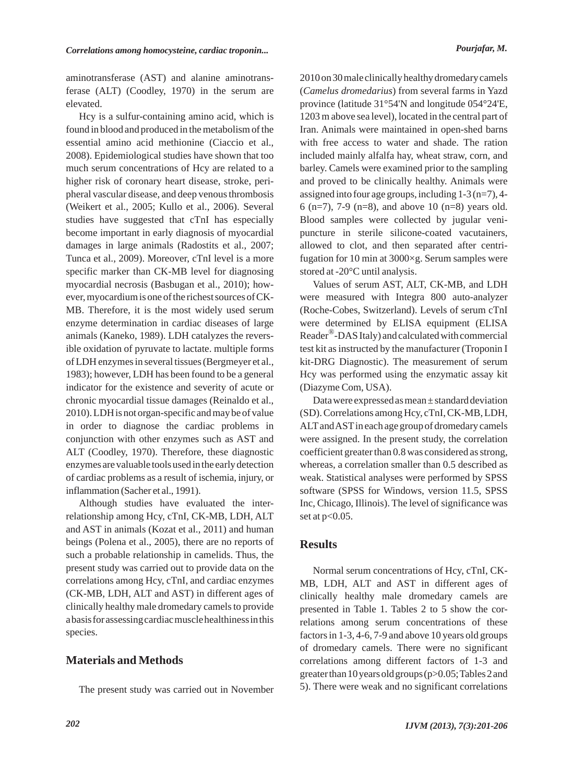aminotransferase (AST) and alanine aminotransferase (ALT) (Coodley, 1970) in the serum are elevated.

Hcy is a sulfur-containing amino acid, which is found in blood and produced in the metabolism of the essential amino acid methionine (Ciaccio et al., 2008). Epidemiological studies have shown that too much serum concentrations of Hcy are related to a higher risk of coronary heart disease, stroke, peripheral vascular disease, and deep venous thrombosis (Weikert et al., 2005; Kullo et al., 2006). Several studies have suggested that cTnI has especially become important in early diagnosis of myocardial damages in large animals (Radostits et al., 2007; Tunca et al., 2009). Moreover, cTnI level is a more specific marker than CK-MB level for diagnosing myocardial necrosis (Basbugan et al., 2010); however, myocardium is one of the richest sources of CK-MB. Therefore, it is the most widely used serum enzyme determination in cardiac diseases of large animals (Kaneko, 1989). LDH catalyzes the reversible oxidation of pyruvate to lactate. multiple forms of LDH enzymes in several tissues (Bergmeyer et al., 1983); however, LDH has been found to be a general indicator for the existence and severity of acute or chronic myocardial tissue damages (Reinaldo et al., 2010). LDH is not organ-specific and may be of value in order to diagnose the cardiac problems in conjunction with other enzymes such as AST and ALT (Coodley, 1970). Therefore, these diagnostic enzymes are valuable tools used in the early detection of cardiac problems as a result of ischemia, injury, or inflammation (Sacher et al., 1991).

Although studies have evaluated the interrelationship among Hcy, cTnI, CK-MB, LDH, ALT and AST in animals (Kozat et al., 2011) and human beings (Polena et al., 2005), there are no reports of such a probable relationship in camelids. Thus, the present study was carried out to provide data on the correlations among Hcy, cTnI, and cardiac enzymes (CK-MB, LDH, ALT and AST) in different ages of clinically healthy male dromedary camels to provide a basis for assessing cardiac muscle healthiness in this species.

## **Materials and Methods**

The present study was carried out in November

2010 on 30 male clinically healthy dromedary camels (*Camelus dromedarius*) from several farms in Yazd province (latitude 31°54'N and longitude 054°24'E, 1203 m above sea level), located in the central part of Iran. Animals were maintained in open-shed barns with free access to water and shade. The ration included mainly alfalfa hay, wheat straw, corn, and barley. Camels were examined prior to the sampling and proved to be clinically healthy. Animals were assigned into four age groups, including 1-3 (n=7), 4- 6 (n=7), 7-9 (n=8), and above 10 (n=8) years old. Blood samples were collected by jugular venipuncture in sterile silicone-coated vacutainers, allowed to clot, and then separated after centrifugation for 10 min at 3000×g. Serum samples were stored at -20°C until analysis.

Values of serum AST, ALT, CK-MB, and LDH were measured with Integra 800 auto-analyzer (Roche-Cobes, Switzerland). Levels of serum cTnI were determined by ELISA equipment (ELISA Reader®-DAS Italy) and calculated with commercial test kit as instructed by the manufacturer (Troponin I kit-DRG Diagnostic). The measurement of serum Hcy was performed using the enzymatic assay kit (Diazyme Com, USA).

Data were expressed as mean ± standard deviation (SD). Correlations among Hcy, cTnI, CK-MB, LDH, ALTand ASTin each age group of dromedary camels were assigned. In the present study, the correlation coefficient greater than 0.8 was considered as strong, whereas, a correlation smaller than 0.5 described as weak. Statistical analyses were performed by SPSS software (SPSS for Windows, version 11.5, SPSS Inc, Chicago, Illinois). The level of significance was set at  $p<0.05$ .

## **Results**

Normal serum concentrations of Hcy, cTnI, CK-MB, LDH, ALT and AST in different ages of clinically healthy male dromedary camels are presented in Table 1. Tables 2 to 5 show the correlations among serum concentrations of these factors in 1-3, 4-6, 7-9 and above 10 years old groups of dromedary camels. There were no significant correlations among different factors of 1-3 and greater than 10 years old groups (p>0.05; Tables 2 and 5). There were weak and no significant correlations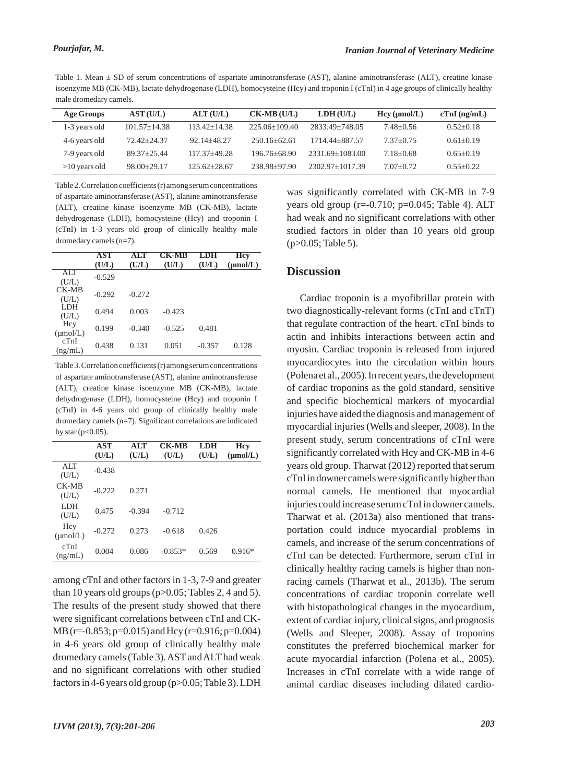Table 1. Mean ± SD of serum concentrations of aspartate aminotransferase (AST), alanine aminotransferase (ALT), creatine kinase isoenzyme MB (CK-MB), lactate dehydrogenase (LDH), homocysteine (Hcy) and troponin I (cTnI) in 4 age groups of clinically healthy male dromedary camels.

| Age Groups      | AST(U/L)         | ALT(U/L)         | $CK-MB(U/L)$     | LDH(U/L)            | Hcy (µmol/L)  | $cTnI$ (ng/mL) |
|-----------------|------------------|------------------|------------------|---------------------|---------------|----------------|
| 1-3 years old   | $101.57 + 14.38$ | $113.42 + 14.38$ | $225.06+109.40$  | 2833.49+748.05      | 7.48+0.56     | $0.52+0.18$    |
| 4-6 years old   | $72.42 + 24.37$  | $92.14 + 48.27$  | $250.16 + 62.61$ | 1714.44+887.57      | $7.37+0.75$   | $0.61 + 0.19$  |
| 7-9 years old   | $89.37 + 25.44$  | $117.37 + 49.28$ | $196.76 + 68.90$ | $2331.69 + 1083.00$ | $7.18 + 0.68$ | $0.65+0.19$    |
| $>10$ years old | $98.00+29.17$    | $125.62 + 28.67$ | $238.98 + 97.90$ | $2302.97+1017.39$   | $7.07 + 0.72$ | $0.55 + 0.22$  |

Table 2. Correlation coefficients (r) among serum concentrations of aspartate aminotransferase (AST), alanine aminotransferase (ALT), creatine kinase isoenzyme MB (CK-MB), lactate dehydrogenase (LDH), homocysteine (Hcy) and troponin I (cTnI) in 1-3 years old group of clinically healthy male dromedary camels (n=7).

|                             | AST<br>(U/L) | ALT<br>(U/L) | CK-MB<br>(U/L) | LDH<br>(U/L) | Hcy<br>$(\mu mol/L)$ |
|-----------------------------|--------------|--------------|----------------|--------------|----------------------|
| <b>ALT</b><br>(U/L)         | $-0.529$     |              |                |              |                      |
| $CK-MB$<br>(U/L)            | $-0.292$     | $-0.272$     |                |              |                      |
| LDH<br>(U/L)                | 0.494        | 0.003        | $-0.423$       |              |                      |
| Hcy<br>$(\mu \text{mol/L})$ | 0.199        | $-0.340$     | $-0.525$       | 0.481        |                      |
| cTnI<br>(ng/mL)             | 0.438        | 0.131        | 0.051          | $-0.357$     | 0.128                |

Table 3. Correlation coefficients (r) among serum concentrations of aspartate aminotransferase (AST), alanine aminotransferase (ALT), creatine kinase isoenzyme MB (CK-MB), lactate dehydrogenase (LDH), homocysteine (Hcy) and troponin I (cTnI) in 4-6 years old group of clinically healthy male dromedary camels (n=7). Significant correlations are indicated by star ( $p<0.05$ ).

|                             | AST<br>(U/L) | ALT<br>(U/L) | <b>CK-MB</b><br>(U/L) | <b>LDH</b><br>(U/L) | <b>Hcv</b><br>$(\mu mol/L)$ |
|-----------------------------|--------------|--------------|-----------------------|---------------------|-----------------------------|
| ALT<br>(U/L)                | $-0.438$     |              |                       |                     |                             |
| CK-MB<br>(U/L)              | $-0.222$     | 0.271        |                       |                     |                             |
| <b>LDH</b><br>(U/L)         | 0.475        | $-0.394$     | $-0.712$              |                     |                             |
| Hcy<br>$(\mu \text{mol/L})$ | $-0.272$     | 0.273        | $-0.618$              | 0.426               |                             |
| cTnI<br>(ng/mL)             | 0.004        | 0.086        | $-0.853*$             | 0.569               | $0.916*$                    |

among cTnI and other factors in 1-3, 7-9 and greater than 10 years old groups ( $p > 0.05$ ; Tables 2, 4 and 5). The results of the present study showed that there were significant correlations between cTnI and CK-MB (r=-0.853; p=0.015) and Hcy (r=0.916; p=0.004) in 4-6 years old group of clinically healthy male dromedary camels (Table 3). AST and ALT had weak and no significant correlations with other studied factors in 4-6 years old group (p>0.05; Table 3). LDH was significantly correlated with CK-MB in 7-9 years old group ( $r=-0.710$ ;  $p=0.045$ ; Table 4). ALT had weak and no significant correlations with other studied factors in older than 10 years old group (p>0.05; Table 5).

#### **Discussion**

Cardiac troponin is a myofibrillar protein with two diagnostically-relevant forms (cTnI and cTnT) that regulate contraction of the heart. cTnI binds to actin and inhibits interactions between actin and myosin. Cardiac troponin is released from injured myocardiocytes into the circulation within hours (Polena et al., 2005). In recent years, the development of cardiac troponins as the gold standard, sensitive and specific biochemical markers of myocardial injuries have aided the diagnosis and management of myocardial injuries (Wells and sleeper, 2008). In the present study, serum concentrations of cTnI were significantly correlated with Hcy and CK-MB in 4-6 years old group. Tharwat (2012) reported that serum cTnI in downer camels were significantly higher than normal camels. He mentioned that myocardial injuries could increase serum cTnI in downer camels. Tharwat et al. (2013a) also mentioned that transportation could induce myocardial problems in camels, and increase of the serum concentrations of cTnI can be detected. Furthermore, serum cTnI in clinically healthy racing camels is higher than nonracing camels (Tharwat et al., 2013b). The serum concentrations of cardiac troponin correlate well with histopathological changes in the myocardium, extent of cardiac injury, clinical signs, and prognosis (Wells and Sleeper, 2008). Assay of troponins constitutes the preferred biochemical marker for acute myocardial infarction (Polena et al., 2005). Increases in cTnI correlate with a wide range of animal cardiac diseases including dilated cardio-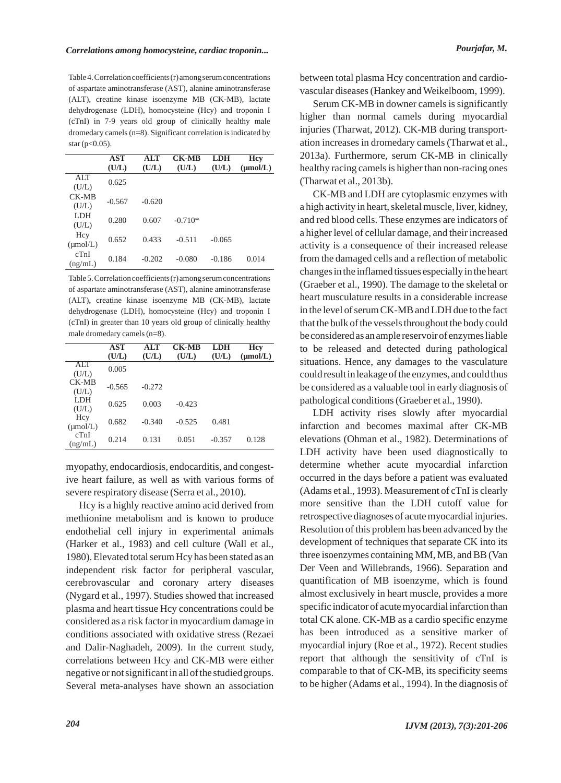Table 4. Correlation coefficients (r) among serum concentrations of aspartate aminotransferase (AST), alanine aminotransferase (ALT), creatine kinase isoenzyme MB (CK-MB), lactate dehydrogenase (LDH), homocysteine (Hcy) and troponin I (cTnI) in 7-9 years old group of clinically healthy male dromedary camels (n=8). Significant correlation is indicated by  $star (p < 0.05)$ .

|                             | AST<br>(U/L) | ALT<br>(U/L) | <b>CK-MB</b><br>(U/L) | <b>LDH</b><br>(U/L) | <b>Hcv</b><br>$(\mu mol/L)$ |
|-----------------------------|--------------|--------------|-----------------------|---------------------|-----------------------------|
| <b>ALT</b><br>(U/L)         | 0.625        |              |                       |                     |                             |
| CK-MB<br>(U/L)              | $-0.567$     | $-0.620$     |                       |                     |                             |
| LDH<br>(U/L)                | 0.280        | 0.607        | $-0.710*$             |                     |                             |
| Hcy<br>$(\mu \text{mol/L})$ | 0.652        | 0.433        | $-0.511$              | $-0.065$            |                             |
| cTnI<br>(ng/mL)             | 0.184        | $-0.202$     | $-0.080$              | $-0.186$            | 0.014                       |

Table 5. Correlation coefficients (r) among serum concentrations of aspartate aminotransferase (AST), alanine aminotransferase (ALT), creatine kinase isoenzyme MB (CK-MB), lactate dehydrogenase (LDH), homocysteine (Hcy) and troponin I (cTnI) in greater than 10 years old group of clinically healthy male dromedary camels (n=8).

|                              | <b>AST</b> | ALT      | <b>CK-MB</b> | LDH      | Hcv           |
|------------------------------|------------|----------|--------------|----------|---------------|
|                              | (U/L)      | (U/L)    | (U/L)        | (U/L)    | $(\mu mol/L)$ |
| <b>ALT</b>                   | 0.005      |          |              |          |               |
| (U/L)                        |            |          |              |          |               |
| CK-MB                        | $-0.565$   | $-0.272$ |              |          |               |
| (U/L)                        |            |          |              |          |               |
| <b>LDH</b>                   | 0.625      | 0.003    | $-0.423$     |          |               |
| (U/L)                        |            |          |              |          |               |
| Hcy                          | 0.682      | $-0.340$ | $-0.525$     | 0.481    |               |
| $(\mu \text{mol/L})$<br>cTnI |            |          |              |          |               |
|                              | 0.214      | 0.131    | 0.051        | $-0.357$ | 0.128         |
| (ng/mL)                      |            |          |              |          |               |

myopathy, endocardiosis, endocarditis, and congestive heart failure, as well as with various forms of severe respiratory disease (Serra et al., 2010).

Hcy is a highly reactive amino acid derived from methionine metabolism and is known to produce endothelial cell injury in experimental animals (Harker et al., 1983) and cell culture (Wall et al., 1980). Elevated total serum Hcy has been stated as an independent risk factor for peripheral vascular, cerebrovascular and coronary artery diseases (Nygard et al., 1997). Studies showed that increased plasma and heart tissue Hcy concentrations could be considered as a risk factor in myocardium damage in conditions associated with oxidative stress (Rezaei and Dalir-Naghadeh, 2009). In the current study, correlations between Hcy and CK-MB were either negative or not significant in all of the studied groups. Several meta-analyses have shown an association between total plasma Hcy concentration and cardiovascular diseases (Hankey and Weikelboom, 1999).

Serum CK-MB in downer camels is significantly higher than normal camels during myocardial injuries (Tharwat, 2012). CK-MB during transportation increases in dromedary camels (Tharwat et al., 2013a). Furthermore, serum CK-MB in clinically healthy racing camels is higher than non-racing ones (Tharwat et al., 2013b).

CK-MB and LDH are cytoplasmic enzymes with a high activity in heart, skeletal muscle, liver, kidney, and red blood cells. These enzymes are indicators of a higher level of cellular damage, and their increased activity is a consequence of their increased release from the damaged cells and a reflection of metabolic changes in the inflamed tissues especially in the heart (Graeber et al., 1990). The damage to the skeletal or heart musculature results in a considerable increase in the level of serum CK-MB and LDH due to the fact that the bulk of the vessels throughout the body could be considered as an ample reservoir of enzymes liable to be released and detected during pathological situations. Hence, any damages to the vasculature could result in leakage of the enzymes, and could thus be considered as a valuable tool in early diagnosis of pathological conditions (Graeber et al., 1990).

LDH activity rises slowly after myocardial infarction and becomes maximal after CK-MB elevations (Ohman et al., 1982). Determinations of LDH activity have been used diagnostically to determine whether acute myocardial infarction occurred in the days before a patient was evaluated (Adams et al., 1993). Measurement of cTnI is clearly more sensitive than the LDH cutoff value for retrospective diagnoses of acute myocardial injuries. Resolution of this problem has been advanced by the development of techniques that separate CK into its three isoenzymes containing MM, MB, and BB (Van Der Veen and Willebrands, 1966). Separation and quantification of MB isoenzyme, which is found almost exclusively in heart muscle, provides a more specific indicator of acute myocardial infarction than total CK alone. CK-MB as a cardio specific enzyme has been introduced as a sensitive marker of myocardial injury (Roe et al., 1972). Recent studies report that although the sensitivity of cTnI is comparable to that of CK-MB, its specificity seems to be higher (Adams et al., 1994). In the diagnosis of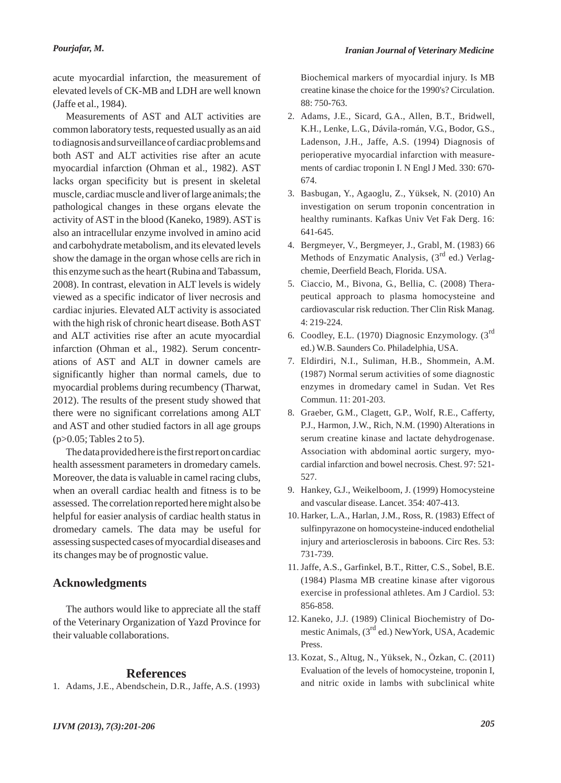acute myocardial infarction, the measurement of elevated levels of CK-MB and LDH are well known (Jaffe et al., 1984).

Measurements of AST and ALT activities are common laboratory tests, requested usually as an aid to diagnosis and surveillance of cardiac problems and both AST and ALT activities rise after an acute myocardial infarction (Ohman et al., 1982). AST lacks organ specificity but is present in skeletal muscle, cardiac muscle and liver of large animals; the pathological changes in these organs elevate the activity of AST in the blood (Kaneko, 1989). AST is also an intracellular enzyme involved in amino acid and carbohydrate metabolism, and its elevated levels show the damage in the organ whose cells are rich in this enzyme such as the heart (Rubina and Tabassum, 2008). In contrast, elevation in ALT levels is widely viewed as a specific indicator of liver necrosis and cardiac injuries. Elevated ALT activity is associated with the high risk of chronic heart disease. Both AST and ALT activities rise after an acute myocardial infarction (Ohman et al., 1982). Serum concentrations of AST and ALT in downer camels are significantly higher than normal camels, due to myocardial problems during recumbency (Tharwat, 2012). The results of the present study showed that there were no significant correlations among ALT and AST and other studied factors in all age groups (p>0.05; Tables 2 to 5).

The data provided here is the first report on cardiac health assessment parameters in dromedary camels. Moreover, the data is valuable in camel racing clubs, when an overall cardiac health and fitness is to be assessed. The correlation reported here might also be helpful for easier analysis of cardiac health status in dromedary camels. The data may be useful for assessing suspected cases of myocardial diseases and its changes may be of prognostic value.

#### **Acknowledgments**

The authors would like to appreciate all the staff of the Veterinary Organization of Yazd Province for their valuable collaborations.

#### **References**

1. Adams, J.E., Abendschein, D.R., Jaffe, A.S. (1993)

Biochemical markers of myocardial injury. Is MB creatine kinase the choice for the 1990's? Circulation. 88: 750-763.

- Adams, J.E., Sicard, G.A., Allen, B.T., Bridwell, 2. K.H., Lenke, L.G., Dávila-román, V.G., Bodor, G.S., Ladenson, J.H., Jaffe, A.S. (1994) Diagnosis of perioperative myocardial infarction with measurements of cardiac troponin I. N Engl J Med. 330: 670- 674.
- Basbugan, Y., Agaoglu, Z., Yüksek, N. (2010) An 3. investigation on serum troponin concentration in healthy ruminants. Kafkas Univ Vet Fak Derg. 16: 641-645.
- Bergmeyer, V., Bergmeyer, J., Grabl, M. (1983) 66 4. Methods of Enzymatic Analysis,  $(3<sup>rd</sup>$  ed.) Verlagchemie, Deerfield Beach, Florida. USA.
- 5. Ciaccio, M., Bivona, G., Bellia, C. (2008) Therapeutical approach to plasma homocysteine and cardiovascular risk reduction. Ther Clin Risk Manag. 4: 219-224.
- 6. Coodley, E.L. (1970) Diagnosic Enzymology. (3<sup>rd</sup> ed.) W.B. Saunders Co. Philadelphia, USA.
- Eldirdiri, N.I., Suliman, H.B., Shommein, A.M. 7. (1987) Normal serum activities of some diagnostic enzymes in dromedary camel in Sudan. Vet Res Commun. 11: 201-203.
- Graeber, G.M., Clagett, G.P., Wolf, R.E., Cafferty, 8. P.J., Harmon, J.W., Rich, N.M. (1990) Alterations in serum creatine kinase and lactate dehydrogenase. Association with abdominal aortic surgery, myocardial infarction and bowel necrosis. Chest. 97: 521- 527.
- Hankey, G.J., Weikelboom, J. (1999) Homocysteine 9. and vascular disease. Lancet. 354: 407-413.
- 10. Harker, L.A., Harlan, J.M., Ross, R. (1983) Effect of sulfinpyrazone on homocysteine-induced endothelial injury and arteriosclerosis in baboons. Circ Res. 53: 731-739.
- 11. Jaffe, A.S., Garfinkel, B.T., Ritter, C.S., Sobel, B.E. (1984) Plasma MB creatine kinase after vigorous exercise in professional athletes. Am J Cardiol. 53: 856-858.
- 12. Kaneko, J.J. (1989) Clinical Biochemistry of Domestic Animals,  $(3<sup>rd</sup>$  ed.) NewYork, USA, Academic Press.
- Kozat, S., Altug, N., Yüksek, N., Özkan, C. (2011) 13.Evaluation of the levels of homocysteine, troponin I, and nitric oxide in lambs with subclinical white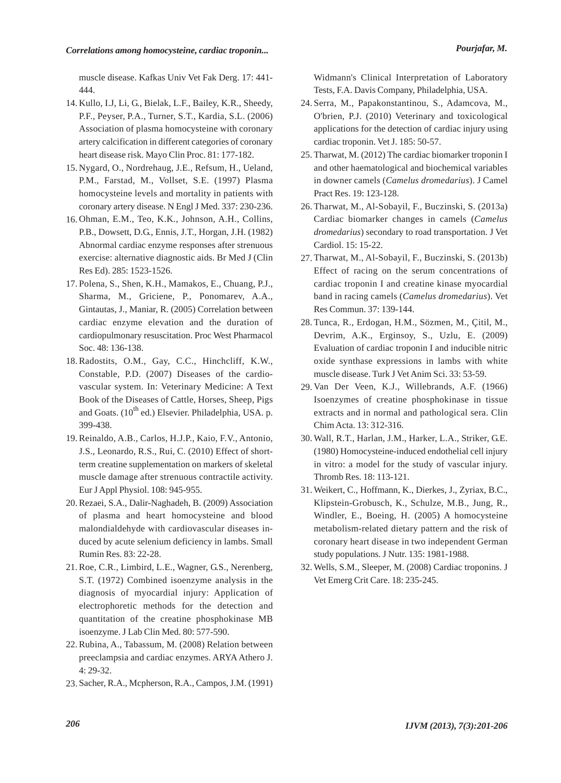muscle disease. Kafkas Univ Vet Fak Derg. 17: 441- 444.

- 14. Kullo, I.J, Li, G., Bielak, L.F., Bailey, K.R., Sheedy, P.F., Peyser, P.A., Turner, S.T., Kardia, S.L. (2006) Association of plasma homocysteine with coronary artery calcification in different categories of coronary heart disease risk. Mayo Clin Proc. 81: 177-182.
- 15. Nygard, O., Nordrehaug, J.E., Refsum, H., Ueland, P.M., Farstad, M., Vollset, S.E. (1997) Plasma homocysteine levels and mortality in patients with coronary artery disease. N Engl J Med. 337: 230-236.
- 16. Ohman, E.M., Teo, K.K., Johnson, A.H., Collins, P.B., Dowsett, D.G., Ennis, J.T., Horgan, J.H. (1982) Abnormal cardiac enzyme responses after strenuous exercise: alternative diagnostic aids. Br Med J (Clin Res Ed). 285: 1523-1526.
- 17. Polena, S., Shen, K.H., Mamakos, E., Chuang, P.J., Sharma, M., Griciene, P., Ponomarev, A.A., Gintautas, J., Maniar, R. (2005) Correlation between cardiac enzyme elevation and the duration of cardiopulmonary resuscitation. Proc West Pharmacol Soc. 48: 136-138.
- 18. Radostits, O.M., Gay, C.C., Hinchcliff, K.W., Constable, P.D. (2007) Diseases of the cardiovascular system. In: Veterinary Medicine: A Text Book of the Diseases of Cattle, Horses, Sheep, Pigs and Goats.  $(10^{th}$  ed.) Elsevier. Philadelphia, USA. p. 399-438.
- 19. Reinaldo, A.B., Carlos, H.J.P., Kaio, F.V., Antonio, J.S., Leonardo, R.S., Rui, C. (2010) Effect of shortterm creatine supplementation on markers of skeletal muscle damage after strenuous contractile activity. Eur J Appl Physiol. 108: 945-955.
- 20. Rezaei, S.A., Dalir-Naghadeh, B. (2009) Association of plasma and heart homocysteine and blood malondialdehyde with cardiovascular diseases induced by acute selenium deficiency in lambs. Small Rumin Res. 83: 22-28.
- 21. Roe, C.R., Limbird, L.E., Wagner, G.S., Nerenberg, S.T. (1972) Combined isoenzyme analysis in the diagnosis of myocardial injury: Application of electrophoretic methods for the detection and quantitation of the creatine phosphokinase MB isoenzyme. J Lab Clin Med. 80: 577-590.
- 22. Rubina, A., Tabassum, M. (2008) Relation between preeclampsia and cardiac enzymes. ARYA Athero J. 4: 29-32.
- 23. Sacher, R.A., Mcpherson, R.A., Campos, J.M. (1991)

Widmann's Clinical Interpretation of Laboratory Tests, F.A. Davis Company, Philadelphia, USA.

- 24. Serra, M., Papakonstantinou, S., Adamcova, M., O'brien, P.J. (2010) Veterinary and toxicological applications for the detection of cardiac injury using cardiac troponin. Vet J. 185: 50-57.
- 25. Tharwat, M. (2012) The cardiac biomarker troponin I and other haematological and biochemical variables in downer camels (*Camelus dromedarius*). J Camel Pract Res. 19: 123-128.
- 26. Tharwat, M., Al-Sobayil, F., Buczinski, S. (2013a) Cardiac biomarker changes in camels (*Camelus dromedarius*) secondary to road transportation. J Vet Cardiol. 15: 15-22.
- 27. Tharwat, M., Al-Sobayil, F., Buczinski, S. (2013b) Effect of racing on the serum concentrations of cardiac troponin I and creatine kinase myocardial band in racing camels (*Camelus dromedarius*). Vet Res Commun. 37: 139-144.
- 28. Tunca, R., Erdogan, H.M., Sözmen, M., Çitil, M., Devrim, A.K., Erginsoy, S., Uzlu, E. (2009) Evaluation of cardiac troponin I and inducible nitric oxide synthase expressions in lambs with white muscle disease. Turk J Vet Anim Sci. 33: 53-59.
- 29. Van Der Veen, K.J., Willebrands, A.F. (1966) Isoenzymes of creatine phosphokinase in tissue extracts and in normal and pathological sera. Clin Chim Acta. 13: 312-316.
- Wall, R.T., Harlan, J.M., Harker, L.A., Striker, G.E. 30. (1980) Homocysteine-induced endothelial cell injury in vitro: a model for the study of vascular injury. Thromb Res. 18: 113-121.
- Weikert, C., Hoffmann, K., Dierkes, J., Zyriax, B.C., 31. Klipstein-Grobusch, K., Schulze, M.B., Jung, R., Windler, E., Boeing, H. (2005) A homocysteine metabolism-related dietary pattern and the risk of coronary heart disease in two independent German study populations. J Nutr. 135: 1981-1988.
- 32. Wells, S.M., Sleeper, M. (2008) Cardiac troponins. J Vet Emerg Crit Care. 18: 235-245.